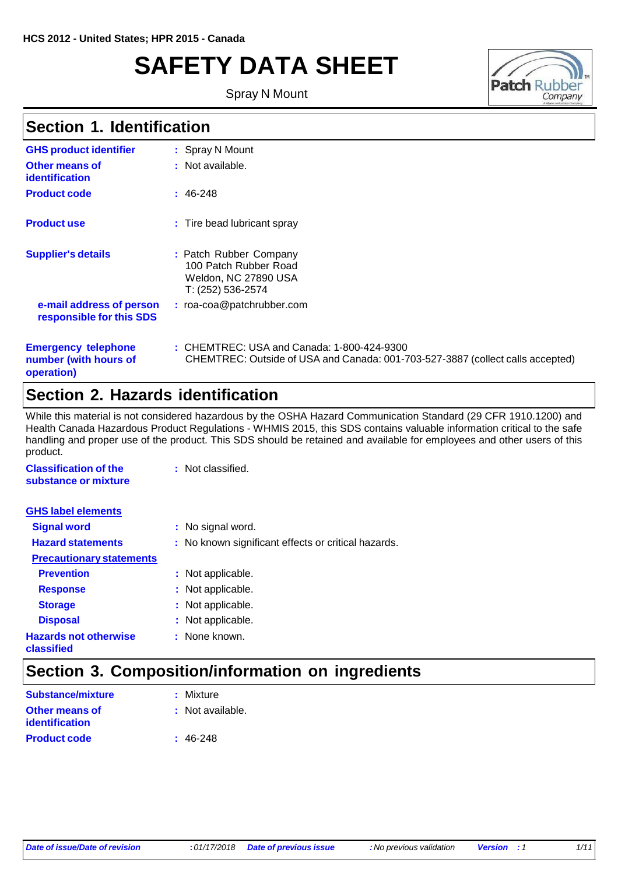# **SAFETY DATA SHEET**

Spray N Mount



#### **Section 1. Identification**

| <b>GHS product identifier</b>                        | : Spray N Mount                                                                              |
|------------------------------------------------------|----------------------------------------------------------------------------------------------|
| Other means of<br>identification                     | : Not available.                                                                             |
| <b>Product code</b>                                  | $: 46-248$                                                                                   |
| <b>Product use</b>                                   | : Tire bead lubricant spray                                                                  |
| <b>Supplier's details</b>                            | : Patch Rubber Company<br>100 Patch Rubber Road<br>Weldon, NC 27890 USA<br>T: (252) 536-2574 |
| e-mail address of person<br>responsible for this SDS | $:$ roa-coa@patchrubber.com                                                                  |
| <b>Emergency telephone</b><br>number (with hours of  | : CHEMTREC: USA and Car<br>CHEMTREC: Outside of U                                            |

**operation)**

**:** CHEMTREC: USA and Canada: 1-800-424-9300 SA and Canada: 001-703-527-3887 (collect calls accepted)

#### **Section 2. Hazards identification**

While this material is not considered hazardous by the OSHA Hazard Communication Standard (29 CFR 1910.1200) and Health Canada Hazardous Product Regulations - WHMIS 2015, this SDS contains valuable information critical to the safe handling and proper use of the product. This SDS should be retained and available for employees and other users of this product.

| <b>Classification of the</b><br>substance or mixture | : Not classified.                                   |
|------------------------------------------------------|-----------------------------------------------------|
| <b>GHS label elements</b>                            |                                                     |
| <b>Signal word</b>                                   | : No signal word.                                   |
| <b>Hazard statements</b>                             | : No known significant effects or critical hazards. |
| <b>Precautionary statements</b>                      |                                                     |
| <b>Prevention</b>                                    | : Not applicable.                                   |
| <b>Response</b>                                      | : Not applicable.                                   |
| <b>Storage</b>                                       | : Not applicable.                                   |
| <b>Disposal</b>                                      | : Not applicable.                                   |
| <b>Hazards not otherwise</b><br>classified           | : None known.                                       |

### **Section 3. Composition/information on ingredients**

| <b>Substance/mixture</b> | : Mixture        |
|--------------------------|------------------|
| <b>Other means of</b>    | : Not available. |
| identification           |                  |
| <b>Product code</b>      | $: 46-248$       |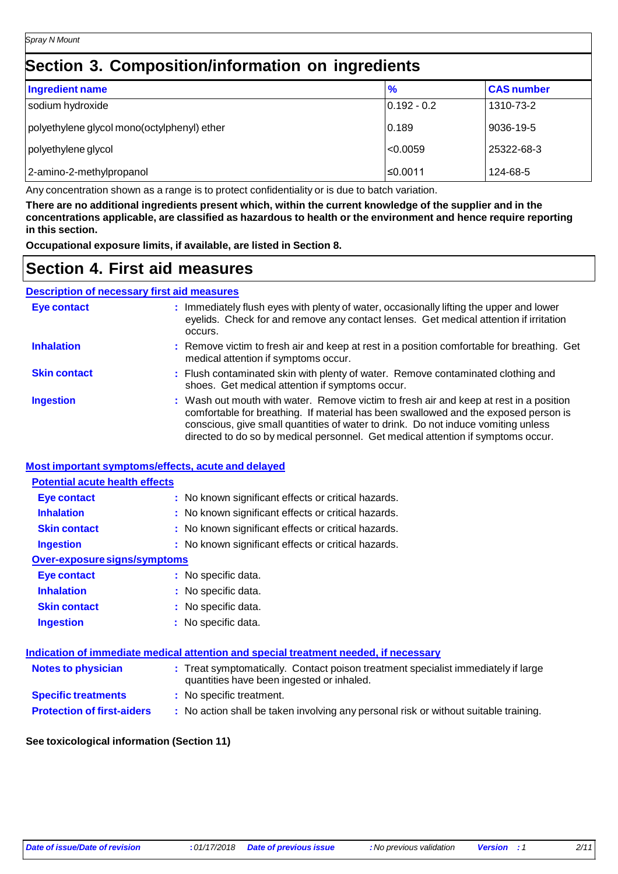### **Section 3. Composition/information on ingredients**

| <b>Ingredient name</b>                      | $\frac{9}{6}$ | <b>CAS number</b> |
|---------------------------------------------|---------------|-------------------|
| sodium hydroxide                            | $0.192 - 0.2$ | 1310-73-2         |
| polyethylene glycol mono(octylphenyl) ether | 0.189         | 9036-19-5         |
| polyethylene glycol                         | < 0.0059      | 25322-68-3        |
| 2-amino-2-methylpropanol                    | ≤0.0011       | 124-68-5          |

Any concentration shown as a range is to protect confidentiality or is due to batch variation.

There are no additional ingredients present which, within the current knowledge of the supplier and in the **concentrations applicable, are classified as hazardous to health or the environment and hence require reporting in this section.**

**Occupational exposure limits, if available, are listed in Section 8.**

#### **Section 4. First aid measures**

#### **Description of necessary first aid measures**

| Eye contact         | : Immediately flush eyes with plenty of water, occasionally lifting the upper and lower<br>eyelids. Check for and remove any contact lenses. Get medical attention if irritation<br>occurs.                                                                                                                                                            |
|---------------------|--------------------------------------------------------------------------------------------------------------------------------------------------------------------------------------------------------------------------------------------------------------------------------------------------------------------------------------------------------|
| <b>Inhalation</b>   | : Remove victim to fresh air and keep at rest in a position comfortable for breathing. Get<br>medical attention if symptoms occur.                                                                                                                                                                                                                     |
| <b>Skin contact</b> | : Flush contaminated skin with plenty of water. Remove contaminated clothing and<br>shoes. Get medical attention if symptoms occur.                                                                                                                                                                                                                    |
| <b>Ingestion</b>    | : Wash out mouth with water. Remove victim to fresh air and keep at rest in a position<br>comfortable for breathing. If material has been swallowed and the exposed person is<br>conscious, give small quantities of water to drink. Do not induce vomiting unless<br>directed to do so by medical personnel. Get medical attention if symptoms occur. |

#### **Most important symptoms/effects, acute and delayed**

| <b>Potential acute health effects</b> |                                                     |  |
|---------------------------------------|-----------------------------------------------------|--|
| Eye contact                           | : No known significant effects or critical hazards. |  |
| <b>Inhalation</b>                     | : No known significant effects or critical hazards. |  |
| <b>Skin contact</b>                   | : No known significant effects or critical hazards. |  |
| <b>Ingestion</b>                      | : No known significant effects or critical hazards. |  |
| Over-exposure signs/symptoms          |                                                     |  |
| <b>Eye contact</b>                    | : No specific data.                                 |  |
| <b>Inhalation</b>                     | : No specific data.                                 |  |
| <b>Skin contact</b>                   | : No specific data.                                 |  |
| <b>Ingestion</b>                      | : No specific data.                                 |  |
|                                       |                                                     |  |

| Indication of immediate medical attention and special treatment needed, if necessary |                                                                                                                                |  |
|--------------------------------------------------------------------------------------|--------------------------------------------------------------------------------------------------------------------------------|--|
| <b>Notes to physician</b>                                                            | : Treat symptomatically. Contact poison treatment specialist immediately if large<br>quantities have been ingested or inhaled. |  |
| <b>Specific treatments</b>                                                           | : No specific treatment.                                                                                                       |  |
| <b>Protection of first-aiders</b>                                                    | : No action shall be taken involving any personal risk or without suitable training.                                           |  |

#### **See toxicological information (Section 11)**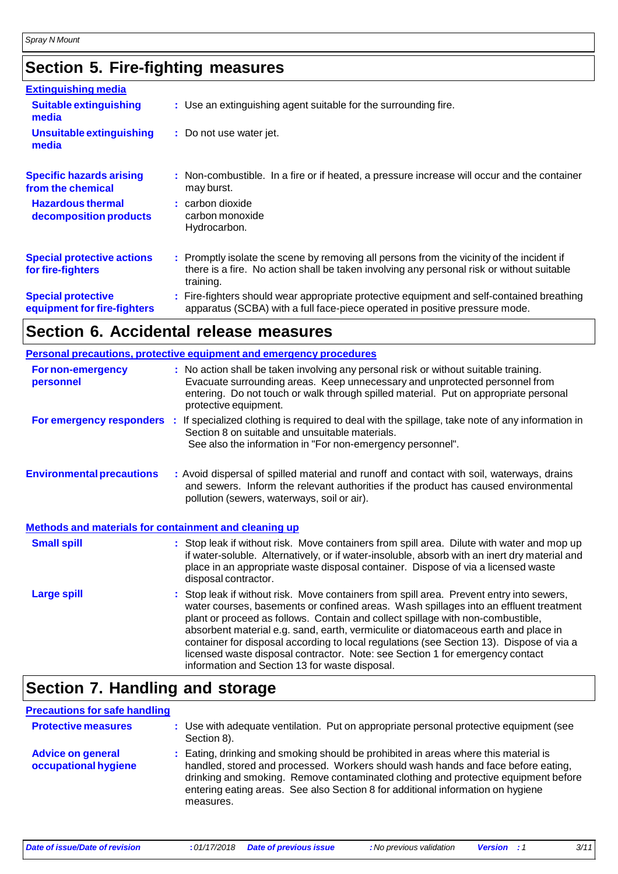# **Section 5. Fire-fighting measures**

| <b>Extinguishing media</b>                               |                                                                                                                                                                                                     |
|----------------------------------------------------------|-----------------------------------------------------------------------------------------------------------------------------------------------------------------------------------------------------|
| <b>Suitable extinguishing</b><br>media                   | : Use an extinguishing agent suitable for the surrounding fire.                                                                                                                                     |
| <b>Unsuitable extinguishing</b><br>media                 | : Do not use water jet.                                                                                                                                                                             |
| <b>Specific hazards arising</b><br>from the chemical     | : Non-combustible. In a fire or if heated, a pressure increase will occur and the container<br>may burst.                                                                                           |
| <b>Hazardous thermal</b><br>decomposition products       | : carbon dioxide<br>carbon monoxide<br>Hydrocarbon.                                                                                                                                                 |
| <b>Special protective actions</b><br>for fire-fighters   | : Promptly isolate the scene by removing all persons from the vicinity of the incident if<br>there is a fire. No action shall be taken involving any personal risk or without suitable<br>training. |
| <b>Special protective</b><br>equipment for fire-fighters | : Fire-fighters should wear appropriate protective equipment and self-contained breathing<br>apparatus (SCBA) with a full face-piece operated in positive pressure mode.                            |

### **Section 6. Accidental release measures**

|                                                              | Personal precautions, protective equipment and emergency procedures                                                                                                                                                                                                                                                                                                                                                                                                                                                                                                                        |
|--------------------------------------------------------------|--------------------------------------------------------------------------------------------------------------------------------------------------------------------------------------------------------------------------------------------------------------------------------------------------------------------------------------------------------------------------------------------------------------------------------------------------------------------------------------------------------------------------------------------------------------------------------------------|
| For non-emergency<br>personnel                               | : No action shall be taken involving any personal risk or without suitable training.<br>Evacuate surrounding areas. Keep unnecessary and unprotected personnel from<br>entering. Do not touch or walk through spilled material. Put on appropriate personal<br>protective equipment.                                                                                                                                                                                                                                                                                                       |
|                                                              | For emergency responders : If specialized clothing is required to deal with the spillage, take note of any information in<br>Section 8 on suitable and unsuitable materials.<br>See also the information in "For non-emergency personnel".                                                                                                                                                                                                                                                                                                                                                 |
| <b>Environmental precautions</b>                             | : Avoid dispersal of spilled material and runoff and contact with soil, waterways, drains<br>and sewers. Inform the relevant authorities if the product has caused environmental<br>pollution (sewers, waterways, soil or air).                                                                                                                                                                                                                                                                                                                                                            |
| <b>Methods and materials for containment and cleaning up</b> |                                                                                                                                                                                                                                                                                                                                                                                                                                                                                                                                                                                            |
| <b>Small spill</b>                                           | : Stop leak if without risk. Move containers from spill area. Dilute with water and mop up<br>if water-soluble. Alternatively, or if water-insoluble, absorb with an inert dry material and<br>place in an appropriate waste disposal container. Dispose of via a licensed waste<br>disposal contractor.                                                                                                                                                                                                                                                                                   |
| <b>Large spill</b>                                           | : Stop leak if without risk. Move containers from spill area. Prevent entry into sewers,<br>water courses, basements or confined areas. Wash spillages into an effluent treatment<br>plant or proceed as follows. Contain and collect spillage with non-combustible,<br>absorbent material e.g. sand, earth, vermiculite or diatomaceous earth and place in<br>container for disposal according to local regulations (see Section 13). Dispose of via a<br>licensed waste disposal contractor. Note: see Section 1 for emergency contact<br>information and Section 13 for waste disposal. |

### **Section 7. Handling and storage**

| <b>Precautions for safe handling</b>             |                                                                                                                                                                                                                                                                                                                                                               |
|--------------------------------------------------|---------------------------------------------------------------------------------------------------------------------------------------------------------------------------------------------------------------------------------------------------------------------------------------------------------------------------------------------------------------|
| <b>Protective measures</b>                       | : Use with adequate ventilation. Put on appropriate personal protective equipment (see<br>Section 8).                                                                                                                                                                                                                                                         |
| <b>Advice on general</b><br>occupational hygiene | : Eating, drinking and smoking should be prohibited in areas where this material is<br>handled, stored and processed. Workers should wash hands and face before eating,<br>drinking and smoking. Remove contaminated clothing and protective equipment before<br>entering eating areas. See also Section 8 for additional information on hygiene<br>measures. |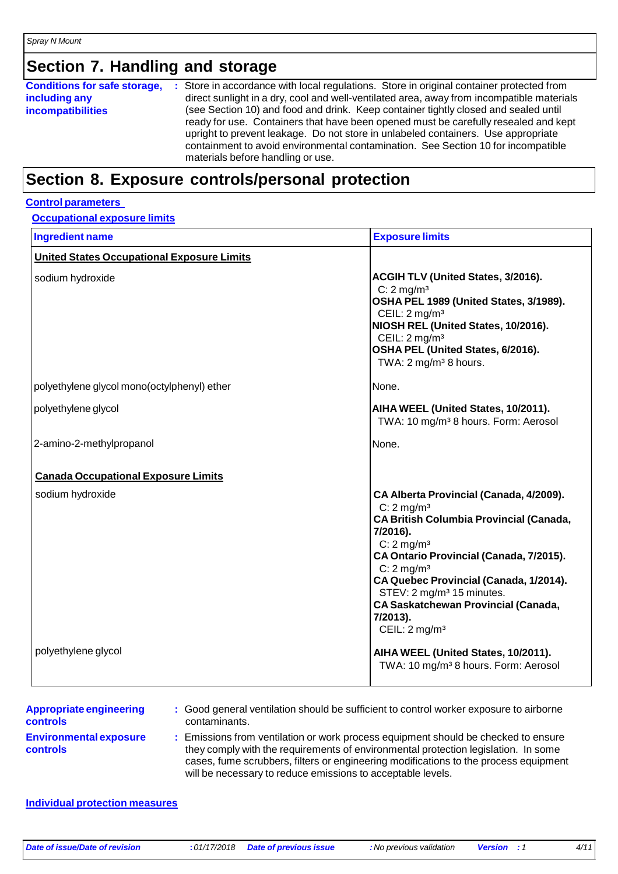### **Section 7. Handling and storage**

| <b>Conditions for safe storage,</b> | : Store in accordance with local regulations. Store in original container protected from                                                                                                                                                                                                                                                                                                  |
|-------------------------------------|-------------------------------------------------------------------------------------------------------------------------------------------------------------------------------------------------------------------------------------------------------------------------------------------------------------------------------------------------------------------------------------------|
| including any                       | direct sunlight in a dry, cool and well-ventilated area, away from incompatible materials                                                                                                                                                                                                                                                                                                 |
| <b>incompatibilities</b>            | (see Section 10) and food and drink. Keep container tightly closed and sealed until<br>ready for use. Containers that have been opened must be carefully resealed and kept<br>upright to prevent leakage. Do not store in unlabeled containers. Use appropriate<br>containment to avoid environmental contamination. See Section 10 for incompatible<br>materials before handling or use. |

#### **Section 8. Exposure controls/personal protection**

#### **Control parameters**

#### **Occupational exposure limits**

| <b>Ingredient name</b>                            | <b>Exposure limits</b>                                                                                                                                                                                                                                                                                                                                                                                        |
|---------------------------------------------------|---------------------------------------------------------------------------------------------------------------------------------------------------------------------------------------------------------------------------------------------------------------------------------------------------------------------------------------------------------------------------------------------------------------|
| <b>United States Occupational Exposure Limits</b> |                                                                                                                                                                                                                                                                                                                                                                                                               |
| sodium hydroxide                                  | ACGIH TLV (United States, 3/2016).<br>$C: 2$ mg/m <sup>3</sup><br>OSHA PEL 1989 (United States, 3/1989).<br>CEIL: $2 \text{ mg/m}^3$<br>NIOSH REL (United States, 10/2016).<br>CEIL: $2 \text{ mg/m}^3$<br>OSHA PEL (United States, 6/2016).<br>TWA: $2 \text{ mg/m}^3$ 8 hours.                                                                                                                              |
| polyethylene glycol mono(octylphenyl) ether       | None.                                                                                                                                                                                                                                                                                                                                                                                                         |
| polyethylene glycol                               | AIHA WEEL (United States, 10/2011).<br>TWA: 10 mg/m <sup>3</sup> 8 hours. Form: Aerosol                                                                                                                                                                                                                                                                                                                       |
| 2-amino-2-methylpropanol                          | None.                                                                                                                                                                                                                                                                                                                                                                                                         |
| <b>Canada Occupational Exposure Limits</b>        |                                                                                                                                                                                                                                                                                                                                                                                                               |
| sodium hydroxide                                  | CA Alberta Provincial (Canada, 4/2009).<br>$C: 2$ mg/m <sup>3</sup><br><b>CA British Columbia Provincial (Canada,</b><br>7/2016).<br>$C: 2$ mg/m <sup>3</sup><br>CA Ontario Provincial (Canada, 7/2015).<br>$C: 2$ mg/m <sup>3</sup><br>CA Quebec Provincial (Canada, 1/2014).<br>STEV: 2 mg/m <sup>3</sup> 15 minutes.<br><b>CA Saskatchewan Provincial (Canada,</b><br>7/2013).<br>CEIL: $2 \text{ mg/m}^3$ |
| polyethylene glycol                               | AIHA WEEL (United States, 10/2011).<br>TWA: 10 mg/m <sup>3</sup> 8 hours. Form: Aerosol                                                                                                                                                                                                                                                                                                                       |

| <b>Appropriate engineering</b> |  |
|--------------------------------|--|
| controls                       |  |
| <b>Environmental exposure</b>  |  |
| <b>controls</b>                |  |

- **:** Good general ventilation should be sufficient to control worker exposure to airborne contaminants.
- **:** Emissions from ventilation or work process equipment should be checked to ensure they comply with the requirements of environmental protection legislation. In some cases, fume scrubbers, filters or engineering modifications to the process equipment will be necessary to reduce emissions to acceptable levels.

#### **Individual protection measures**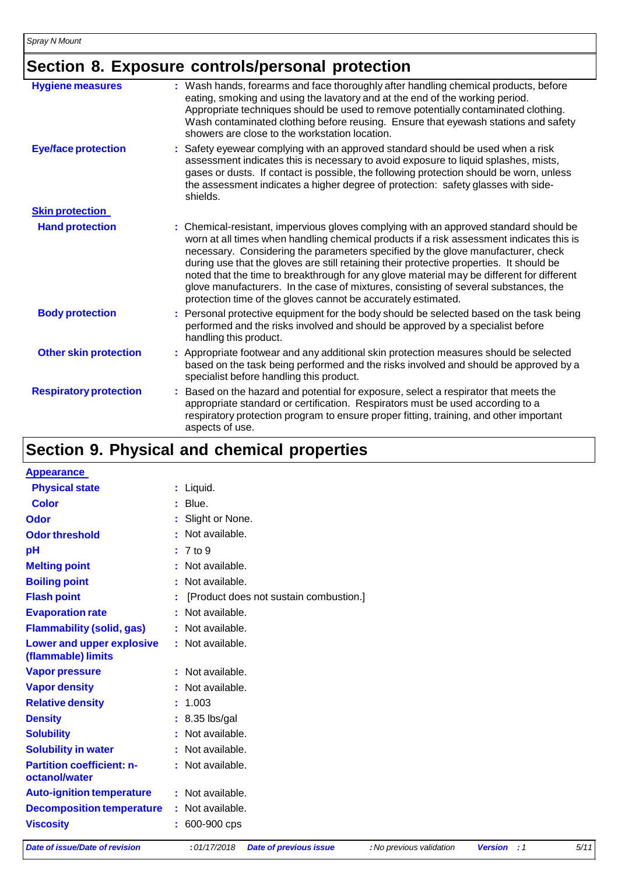# **Section 8. Exposure controls/personal protection**

| <b>Hygiene measures</b>       | : Wash hands, forearms and face thoroughly after handling chemical products, before<br>eating, smoking and using the lavatory and at the end of the working period.<br>Appropriate techniques should be used to remove potentially contaminated clothing.<br>Wash contaminated clothing before reusing. Ensure that eyewash stations and safety<br>showers are close to the workstation location.                                                                                                                                                                                                                      |
|-------------------------------|------------------------------------------------------------------------------------------------------------------------------------------------------------------------------------------------------------------------------------------------------------------------------------------------------------------------------------------------------------------------------------------------------------------------------------------------------------------------------------------------------------------------------------------------------------------------------------------------------------------------|
| <b>Eye/face protection</b>    | : Safety eyewear complying with an approved standard should be used when a risk<br>assessment indicates this is necessary to avoid exposure to liquid splashes, mists,<br>gases or dusts. If contact is possible, the following protection should be worn, unless<br>the assessment indicates a higher degree of protection: safety glasses with side-<br>shields.                                                                                                                                                                                                                                                     |
| <b>Skin protection</b>        |                                                                                                                                                                                                                                                                                                                                                                                                                                                                                                                                                                                                                        |
| <b>Hand protection</b>        | : Chemical-resistant, impervious gloves complying with an approved standard should be<br>worn at all times when handling chemical products if a risk assessment indicates this is<br>necessary. Considering the parameters specified by the glove manufacturer, check<br>during use that the gloves are still retaining their protective properties. It should be<br>noted that the time to breakthrough for any glove material may be different for different<br>glove manufacturers. In the case of mixtures, consisting of several substances, the<br>protection time of the gloves cannot be accurately estimated. |
| <b>Body protection</b>        | : Personal protective equipment for the body should be selected based on the task being<br>performed and the risks involved and should be approved by a specialist before<br>handling this product.                                                                                                                                                                                                                                                                                                                                                                                                                    |
| <b>Other skin protection</b>  | : Appropriate footwear and any additional skin protection measures should be selected<br>based on the task being performed and the risks involved and should be approved by a<br>specialist before handling this product.                                                                                                                                                                                                                                                                                                                                                                                              |
| <b>Respiratory protection</b> | : Based on the hazard and potential for exposure, select a respirator that meets the<br>appropriate standard or certification. Respirators must be used according to a<br>respiratory protection program to ensure proper fitting, training, and other important<br>aspects of use.                                                                                                                                                                                                                                                                                                                                    |

### **Section 9. Physical and chemical properties**

| <b>Appearance</b>                                 |                                        |
|---------------------------------------------------|----------------------------------------|
| <b>Physical state</b>                             | : Liquid.                              |
| <b>Color</b>                                      | $:$ Blue.                              |
| Odor                                              | : Slight or None.                      |
| <b>Odor threshold</b>                             | : Not available.                       |
| pH                                                | $: 7$ to 9                             |
| <b>Melting point</b>                              | : Not available.                       |
| <b>Boiling point</b>                              | : Not available.                       |
| <b>Flash point</b>                                | [Product does not sustain combustion.] |
| <b>Evaporation rate</b>                           | : Not available.                       |
| <b>Flammability (solid, gas)</b>                  | : Not available.                       |
| Lower and upper explosive<br>(flammable) limits   | : Not available.                       |
| <b>Vapor pressure</b>                             | : Not available.                       |
| <b>Vapor density</b>                              | : Not available.                       |
| <b>Relative density</b>                           | : 1.003                                |
| <b>Density</b>                                    | $: 8.35$ lbs/gal                       |
| <b>Solubility</b>                                 | : Not available.                       |
| <b>Solubility in water</b>                        | : Not available.                       |
| <b>Partition coefficient: n-</b><br>octanol/water | : Not available.                       |
| <b>Auto-ignition temperature</b>                  | : Not available.                       |
| <b>Decomposition temperature</b>                  | : Not available.                       |
| <b>Viscosity</b>                                  | : 600-900 cps                          |

11/5 Date of issue/Date of revision : 01/17/2018 Date of previous issue : No previous validation Version : 1 5/11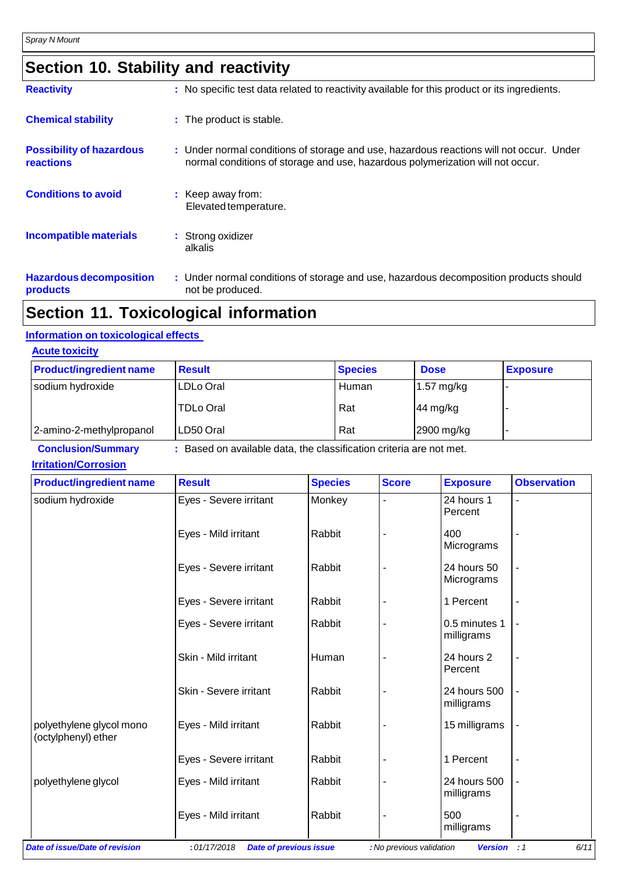|  |  |  |  | <b>Section 10. Stability and reactivity</b> |
|--|--|--|--|---------------------------------------------|
|--|--|--|--|---------------------------------------------|

| <b>Reactivity</b>                                   | : No specific test data related to reactivity available for this product or its ingredients.                                                                              |
|-----------------------------------------------------|---------------------------------------------------------------------------------------------------------------------------------------------------------------------------|
| <b>Chemical stability</b>                           | : The product is stable.                                                                                                                                                  |
| <b>Possibility of hazardous</b><br><b>reactions</b> | : Under normal conditions of storage and use, hazardous reactions will not occur. Under<br>normal conditions of storage and use, hazardous polymerization will not occur. |
| <b>Conditions to avoid</b>                          | : Keep away from:<br>Elevated temperature.                                                                                                                                |
| <b>Incompatible materials</b>                       | : Strong oxidizer<br>alkalis                                                                                                                                              |
| <b>Hazardous decomposition</b><br>products          | : Under normal conditions of storage and use, hazardous decomposition products should<br>not be produced.                                                                 |

### **Section 11. Toxicological information**

#### **Information on toxicological effects**

| <b>Acute toxicity</b>          |                  |                |                      |                          |
|--------------------------------|------------------|----------------|----------------------|--------------------------|
| <b>Product/ingredient name</b> | <b>Result</b>    | <b>Species</b> | <b>Dose</b>          | <b>Exposure</b>          |
| sodium hydroxide               | LDLo Oral        | Human          | $1.57 \text{ mg/kg}$ | . .                      |
|                                | <b>TDLo Oral</b> | Rat            | 44 mg/kg             | $\overline{\phantom{a}}$ |
| 2-amino-2-methylpropanol       | LD50 Oral        | Rat            | 2900 mg/kg           |                          |

**Conclusion/Summary :** Based on available data, the classification criteria are not met.

#### **Irritation/Corrosion**

| <b>Product/ingredient name</b>                  | <b>Result</b>                                | <b>Species</b> | <b>Score</b>             | <b>Exposure</b>             | <b>Observation</b> |
|-------------------------------------------------|----------------------------------------------|----------------|--------------------------|-----------------------------|--------------------|
| sodium hydroxide                                | Eyes - Severe irritant                       | Monkey         |                          | 24 hours 1<br>Percent       |                    |
|                                                 | Eyes - Mild irritant                         | Rabbit         |                          | 400<br>Micrograms           |                    |
|                                                 | Eyes - Severe irritant                       | Rabbit         |                          | 24 hours 50<br>Micrograms   |                    |
|                                                 | Eyes - Severe irritant                       | Rabbit         |                          | 1 Percent                   |                    |
|                                                 | Eyes - Severe irritant                       | Rabbit         |                          | 0.5 minutes 1<br>milligrams |                    |
|                                                 | Skin - Mild irritant                         | Human          |                          | 24 hours 2<br>Percent       |                    |
|                                                 | Skin - Severe irritant                       | Rabbit         |                          | 24 hours 500<br>milligrams  |                    |
| polyethylene glycol mono<br>(octylphenyl) ether | Eyes - Mild irritant                         | Rabbit         |                          | 15 milligrams               |                    |
|                                                 | Eyes - Severe irritant                       | Rabbit         |                          | 1 Percent                   |                    |
| polyethylene glycol                             | Eyes - Mild irritant                         | Rabbit         |                          | 24 hours 500<br>milligrams  |                    |
|                                                 | Eyes - Mild irritant                         | Rabbit         |                          | 500<br>milligrams           |                    |
| Date of issue/Date of revision                  | :01/17/2018<br><b>Date of previous issue</b> |                | : No previous validation | <b>Version</b>              | 6/11<br>$\cdot$ :1 |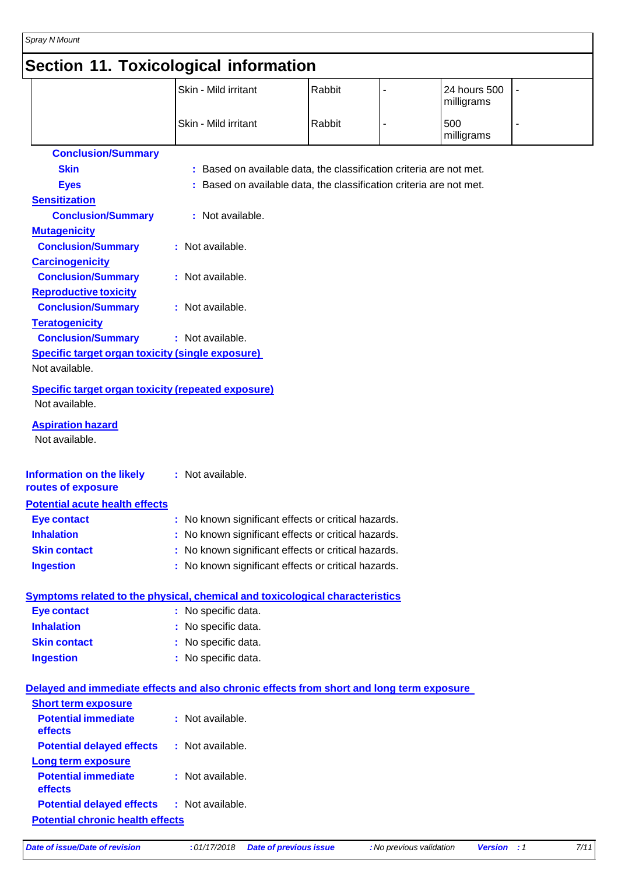# **Section 11. Toxicological information**

|                                                                                          | Skin - Mild irritant                                                | Rabbit |                          | 24 hours 500<br>milligrams |    |
|------------------------------------------------------------------------------------------|---------------------------------------------------------------------|--------|--------------------------|----------------------------|----|
|                                                                                          | Skin - Mild irritant                                                | Rabbit | $\overline{\phantom{a}}$ | 500<br>milligrams          | L, |
| <b>Conclusion/Summary</b>                                                                |                                                                     |        |                          |                            |    |
| <b>Skin</b>                                                                              | : Based on available data, the classification criteria are not met. |        |                          |                            |    |
| <b>Eyes</b>                                                                              | : Based on available data, the classification criteria are not met. |        |                          |                            |    |
| <b>Sensitization</b>                                                                     |                                                                     |        |                          |                            |    |
| <b>Conclusion/Summary</b>                                                                | : Not available.                                                    |        |                          |                            |    |
| <b>Mutagenicity</b>                                                                      |                                                                     |        |                          |                            |    |
| <b>Conclusion/Summary</b>                                                                | : Not available.                                                    |        |                          |                            |    |
| <b>Carcinogenicity</b>                                                                   |                                                                     |        |                          |                            |    |
| <b>Conclusion/Summary</b>                                                                | : Not available.                                                    |        |                          |                            |    |
| <b>Reproductive toxicity</b>                                                             |                                                                     |        |                          |                            |    |
| <b>Conclusion/Summary</b>                                                                | : Not available.                                                    |        |                          |                            |    |
| <b>Teratogenicity</b>                                                                    |                                                                     |        |                          |                            |    |
| <b>Conclusion/Summary</b>                                                                | : Not available.                                                    |        |                          |                            |    |
| <b>Specific target organ toxicity (single exposure)</b>                                  |                                                                     |        |                          |                            |    |
| Not available.                                                                           |                                                                     |        |                          |                            |    |
| <b>Specific target organ toxicity (repeated exposure)</b><br>Not available.              |                                                                     |        |                          |                            |    |
| <b>Aspiration hazard</b>                                                                 |                                                                     |        |                          |                            |    |
| Not available.                                                                           |                                                                     |        |                          |                            |    |
| <b>Information on the likely</b><br>routes of exposure                                   | : Not available.                                                    |        |                          |                            |    |
| <b>Potential acute health effects</b>                                                    |                                                                     |        |                          |                            |    |
| <b>Eye contact</b>                                                                       | : No known significant effects or critical hazards.                 |        |                          |                            |    |
| <b>Inhalation</b>                                                                        | : No known significant effects or critical hazards.                 |        |                          |                            |    |
| <b>Skin contact</b>                                                                      | : No known significant effects or critical hazards.                 |        |                          |                            |    |
| <b>Ingestion</b>                                                                         | : No known significant effects or critical hazards.                 |        |                          |                            |    |
| Symptoms related to the physical, chemical and toxicological characteristics             |                                                                     |        |                          |                            |    |
| <b>Eye contact</b>                                                                       | : No specific data.                                                 |        |                          |                            |    |
| <b>Inhalation</b>                                                                        | : No specific data.                                                 |        |                          |                            |    |
| <b>Skin contact</b>                                                                      | : No specific data.                                                 |        |                          |                            |    |
| <b>Ingestion</b>                                                                         | : No specific data.                                                 |        |                          |                            |    |
| Delayed and immediate effects and also chronic effects from short and long term exposure |                                                                     |        |                          |                            |    |
| <b>Short term exposure</b>                                                               |                                                                     |        |                          |                            |    |
| <b>Potential immediate</b><br>effects                                                    | : Not available.                                                    |        |                          |                            |    |
| <b>Potential delayed effects</b>                                                         | : Not available.                                                    |        |                          |                            |    |
| Long term exposure                                                                       |                                                                     |        |                          |                            |    |
| <b>Potential immediate</b><br>effects                                                    | : Not available.                                                    |        |                          |                            |    |
| <b>Potential delayed effects</b><br><b>Potential chronic health effects</b>              | : Not available.                                                    |        |                          |                            |    |

7/11 Date of issue/Date of revision : 01/17/2018 Date of previous issue : No previous validation Version : 1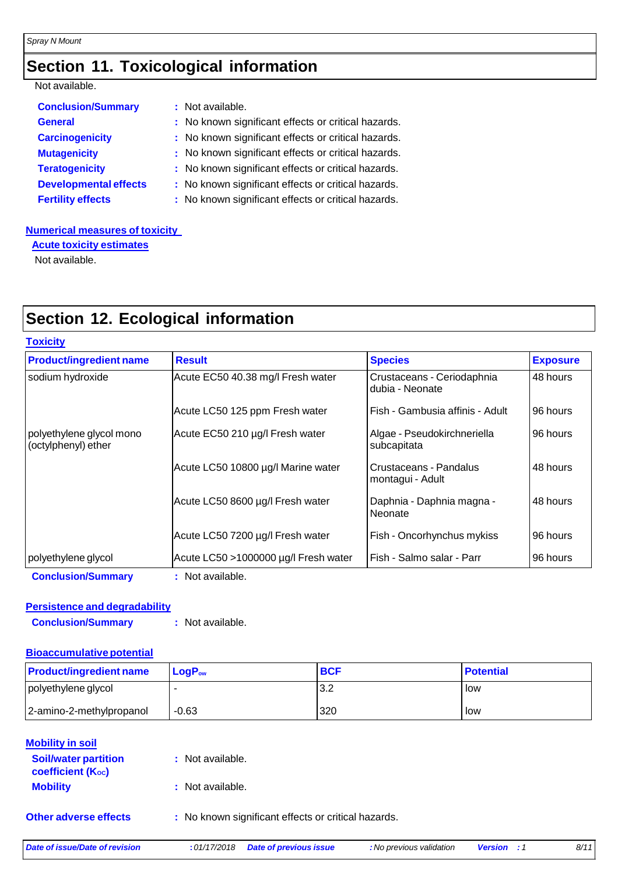# **Section 11. Toxicological information**

#### Not available.

| <b>Conclusion/Summary</b>    | : Not available.                                    |
|------------------------------|-----------------------------------------------------|
| <b>General</b>               | : No known significant effects or critical hazards. |
| <b>Carcinogenicity</b>       | : No known significant effects or critical hazards. |
| <b>Mutagenicity</b>          | : No known significant effects or critical hazards. |
| <b>Teratogenicity</b>        | : No known significant effects or critical hazards. |
| <b>Developmental effects</b> | : No known significant effects or critical hazards. |
| <b>Fertility effects</b>     | : No known significant effects or critical hazards. |

#### **Numerical measures of toxicity**

**Acute toxicity estimates**

Not available.

# **Section 12. Ecological information**

| <b>Result</b>                        | <b>Species</b>                                | <b>Exposure</b> |
|--------------------------------------|-----------------------------------------------|-----------------|
| Acute EC50 40.38 mg/l Fresh water    | Crustaceans - Ceriodaphnia<br>dubia - Neonate | 48 hours        |
| Acute LC50 125 ppm Fresh water       | Fish - Gambusia affinis - Adult               | 96 hours        |
| Acute EC50 210 µg/l Fresh water      | Algae - Pseudokirchneriella<br>subcapitata    | 96 hours        |
| Acute LC50 10800 µg/l Marine water   | Crustaceans - Pandalus<br>montagui - Adult    | 48 hours        |
| Acute LC50 8600 µg/l Fresh water     | Daphnia - Daphnia magna -<br>Neonate          | 48 hours        |
| Acute LC50 7200 µg/l Fresh water     | Fish - Oncorhynchus mykiss                    | 96 hours        |
| Acute LC50 >1000000 µg/l Fresh water | Fish - Salmo salar - Parr                     | 96 hours        |
|                                      |                                               |                 |

#### **Persistence and degradability**

**Conclusion/Summary :** Not available.

#### **Bioaccumulative potential**

| <b>Product/ingredient name</b> | $LogP_{ow}$ | <b>BCF</b> | <b>Potential</b> |
|--------------------------------|-------------|------------|------------------|
| polyethylene glycol            |             | 3.2        | low              |
| 2-amino-2-methylpropanol       | $-0.63$     | 320        | low              |

| <b>Mobility in soil</b><br><b>Soil/water partition</b><br><b>coefficient (Koc)</b> | : Not available.                                    |
|------------------------------------------------------------------------------------|-----------------------------------------------------|
| <b>Mobility</b>                                                                    | : Not available.                                    |
| <b>Other adverse effects</b>                                                       | : No known significant effects or critical hazards. |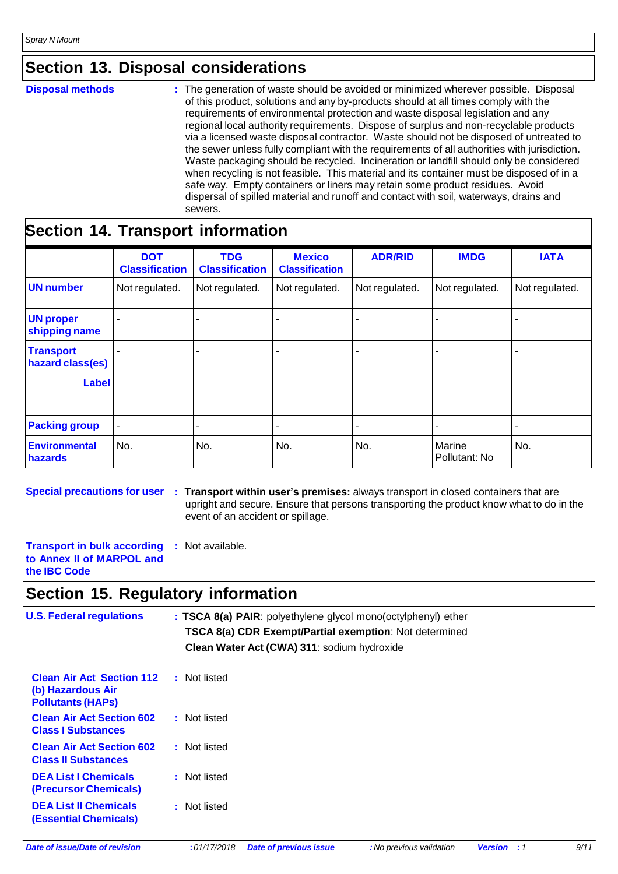### **Section 13. Disposal considerations**

**Disposal methods :** The generation of waste should be avoided or minimized wherever possible. Disposal of this product, solutions and any by-products should at all times comply with the requirements of environmental protection and waste disposal legislation and any regional local authority requirements. Dispose of surplus and non-recyclable products via a licensed waste disposal contractor. Waste should not be disposed of untreated to the sewer unless fully compliant with the requirements of all authorities with jurisdiction. Waste packaging should be recycled. Incineration or landfill should only be considered when recycling is not feasible. This material and its container must be disposed of in a safe way. Empty containers or liners may retain some product residues. Avoid dispersal of spilled material and runoff and contact with soil, waterways, drains and sewers.

# **Section 14. Transport information**

|                                      | <b>DOT</b><br><b>Classification</b> | <b>TDG</b><br><b>Classification</b> | <b>Mexico</b><br><b>Classification</b> | <b>ADR/RID</b> | <b>IMDG</b>             | <b>IATA</b>    |
|--------------------------------------|-------------------------------------|-------------------------------------|----------------------------------------|----------------|-------------------------|----------------|
| UN number                            | Not regulated.                      | Not regulated.                      | Not regulated.                         | Not regulated. | Not regulated.          | Not regulated. |
| <b>UN proper</b><br>shipping name    |                                     |                                     |                                        |                |                         |                |
| <b>Transport</b><br>hazard class(es) |                                     |                                     |                                        |                |                         |                |
| Label                                |                                     |                                     |                                        |                |                         |                |
| <b>Packing group</b>                 |                                     |                                     |                                        |                |                         |                |
| <b>Environmental</b><br>hazards      | No.                                 | No.                                 | No.                                    | No.            | Marine<br>Pollutant: No | No.            |

**Special precautions for user : Transport within user's premises:** always transport in closed containers that are upright and secure. Ensure that persons transporting the product know what to do in the event of an accident or spillage.

**Transport in bulk according to Annex II of MARPOL and the IBC Code :** Not available.

### **Section 15. Regulatory information**

| <b>U.S. Federal regulations</b>                                                   | : TSCA 8(a) PAIR: polyethylene glycol mono(octylphenyl) ether<br>TSCA 8(a) CDR Exempt/Partial exemption: Not determined<br>Clean Water Act (CWA) 311: sodium hydroxide |
|-----------------------------------------------------------------------------------|------------------------------------------------------------------------------------------------------------------------------------------------------------------------|
| <b>Clean Air Act Section 112</b><br>(b) Hazardous Air<br><b>Pollutants (HAPS)</b> | : Not listed                                                                                                                                                           |
| <b>Clean Air Act Section 602</b><br><b>Class I Substances</b>                     | : Not listed                                                                                                                                                           |
| <b>Clean Air Act Section 602</b><br><b>Class II Substances</b>                    | : Not listed                                                                                                                                                           |
| <b>DEA List I Chemicals</b><br><b>(Precursor Chemicals)</b>                       | : Not listed                                                                                                                                                           |
| <b>DEA List II Chemicals</b><br><b>(Essential Chemicals)</b>                      | : Not listed                                                                                                                                                           |

Date of issue/Date of revision : 01/17/2018 Date of previous issue : No previous validation Version : 1 9/11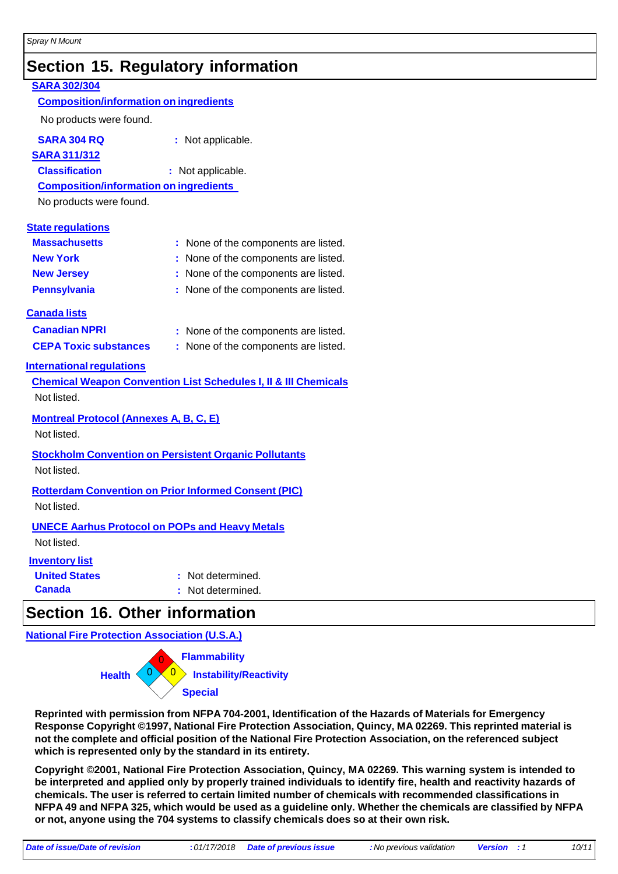### **Section 15. Regulatory information**

#### **SARA 302/304 Composition/information on ingredients** No products were found. **SARA 304 RQ :** Not applicable. **SARA 311/312 Classification :** Not applicable. **Composition/information on ingredients** No products were found. **State regulations Massachusetts :** None of the components are listed. **New York :** None of the components are listed. **New Jersey :** None of the components are listed. **Pennsylvania :** None of the components are listed. **Canada lists Canadian NPRI CEPA Toxic substances International requlations :** None of the components are listed. **:** None of the components are listed. **Chemical Weapon Convention List Schedules I, II & III Chemicals** Not listed. **Montreal Protocol (Annexes A, B, C, E)** Not listed. **Stockholm Convention on Persistent Organic Pollutants** Not listed. **Rotterdam Convention on Prior Informed Consent (PIC)** Not listed. **UNECE Aarhus Protocol on POPs and Heavy Metals** Not listed. **Inventory list United States :** Not determined. **Canada :** Not determined.

### **Section 16. Other information**

**National Fire Protection Association (U.S.A.)**



**Reprinted with permission from NFPA 704-2001, Identification of the Hazards of Materials for Emergency Response Copyright ©1997, National Fire Protection Association, Quincy, MA 02269. This reprinted material is not the complete and official position of the National Fire Protection Association, on the referenced subject which is represented only by the standard in its entirety.**

**Copyright ©2001, National Fire Protection Association, Quincy, MA 02269. This warning system is intended to** be interpreted and applied only by properly trained individuals to identify fire, health and reactivity hazards of **chemicals. The user is referred to certain limited number of chemicals with recommended classifications in** NFPA 49 and NFPA 325, which would be used as a guideline only. Whether the chemicals are classified by NFPA **or not, anyone using the 704 systems to classify chemicals does so at their own risk.**